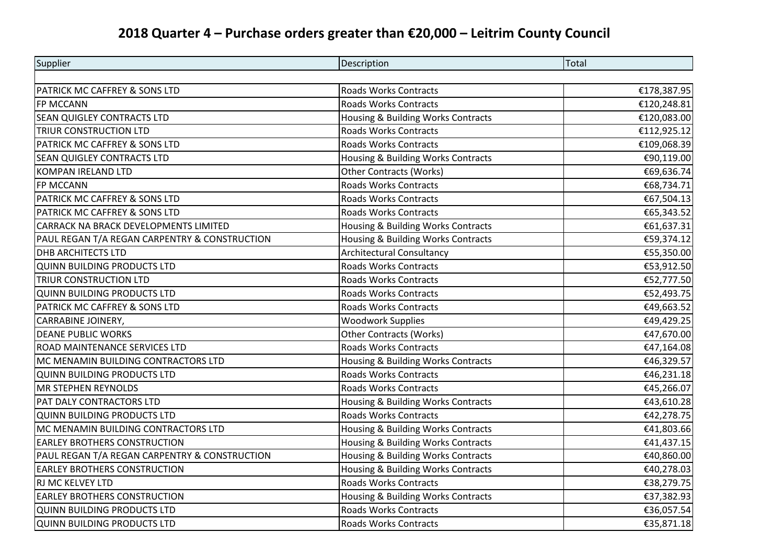## **2018 Quarter 4 – Purchase orders greater than €20,000 – Leitrim County Council**

| Supplier                                      | Description                        | <b>Total</b> |
|-----------------------------------------------|------------------------------------|--------------|
|                                               |                                    |              |
| PATRICK MC CAFFREY & SONS LTD                 | <b>Roads Works Contracts</b>       | €178,387.95  |
| FP MCCANN                                     | <b>Roads Works Contracts</b>       | €120,248.81  |
| <b>SEAN QUIGLEY CONTRACTS LTD</b>             | Housing & Building Works Contracts | €120,083.00  |
| <b>TRIUR CONSTRUCTION LTD</b>                 | <b>Roads Works Contracts</b>       | €112,925.12  |
| PATRICK MC CAFFREY & SONS LTD                 | <b>Roads Works Contracts</b>       | €109,068.39  |
| SEAN QUIGLEY CONTRACTS LTD                    | Housing & Building Works Contracts | €90,119.00   |
| <b>KOMPAN IRELAND LTD</b>                     | <b>Other Contracts (Works)</b>     | €69,636.74   |
| FP MCCANN                                     | <b>Roads Works Contracts</b>       | €68,734.71   |
| PATRICK MC CAFFREY & SONS LTD                 | <b>Roads Works Contracts</b>       | €67,504.13   |
| PATRICK MC CAFFREY & SONS LTD                 | <b>Roads Works Contracts</b>       | €65,343.52   |
| CARRACK NA BRACK DEVELOPMENTS LIMITED         | Housing & Building Works Contracts | €61,637.31   |
| PAUL REGAN T/A REGAN CARPENTRY & CONSTRUCTION | Housing & Building Works Contracts | €59,374.12   |
| <b>DHB ARCHITECTS LTD</b>                     | <b>Architectural Consultancy</b>   | €55,350.00   |
| <b>QUINN BUILDING PRODUCTS LTD</b>            | Roads Works Contracts              | €53,912.50   |
| <b>TRIUR CONSTRUCTION LTD</b>                 | <b>Roads Works Contracts</b>       | €52,777.50   |
| <b>QUINN BUILDING PRODUCTS LTD</b>            | <b>Roads Works Contracts</b>       | €52,493.75   |
| PATRICK MC CAFFREY & SONS LTD                 | Roads Works Contracts              | €49,663.52   |
| <b>CARRABINE JOINERY,</b>                     | <b>Woodwork Supplies</b>           | €49,429.25   |
| <b>DEANE PUBLIC WORKS</b>                     | <b>Other Contracts (Works)</b>     | €47,670.00   |
| ROAD MAINTENANCE SERVICES LTD                 | <b>Roads Works Contracts</b>       | €47,164.08   |
| MC MENAMIN BUILDING CONTRACTORS LTD           | Housing & Building Works Contracts | €46,329.57   |
| <b>QUINN BUILDING PRODUCTS LTD</b>            | <b>Roads Works Contracts</b>       | €46,231.18   |
| <b>MR STEPHEN REYNOLDS</b>                    | <b>Roads Works Contracts</b>       | €45,266.07   |
| PAT DALY CONTRACTORS LTD                      | Housing & Building Works Contracts | €43,610.28   |
| <b>QUINN BUILDING PRODUCTS LTD</b>            | Roads Works Contracts              | €42,278.75   |
| MC MENAMIN BUILDING CONTRACTORS LTD           | Housing & Building Works Contracts | €41,803.66   |
| <b>EARLEY BROTHERS CONSTRUCTION</b>           | Housing & Building Works Contracts | €41,437.15   |
| PAUL REGAN T/A REGAN CARPENTRY & CONSTRUCTION | Housing & Building Works Contracts | €40,860.00   |
| <b>EARLEY BROTHERS CONSTRUCTION</b>           | Housing & Building Works Contracts | €40,278.03   |
| RJ MC KELVEY LTD                              | <b>Roads Works Contracts</b>       | €38,279.75   |
| <b>EARLEY BROTHERS CONSTRUCTION</b>           | Housing & Building Works Contracts | €37,382.93   |
| <b>QUINN BUILDING PRODUCTS LTD</b>            | <b>Roads Works Contracts</b>       | €36,057.54   |
| <b>QUINN BUILDING PRODUCTS LTD</b>            | <b>Roads Works Contracts</b>       | €35,871.18   |